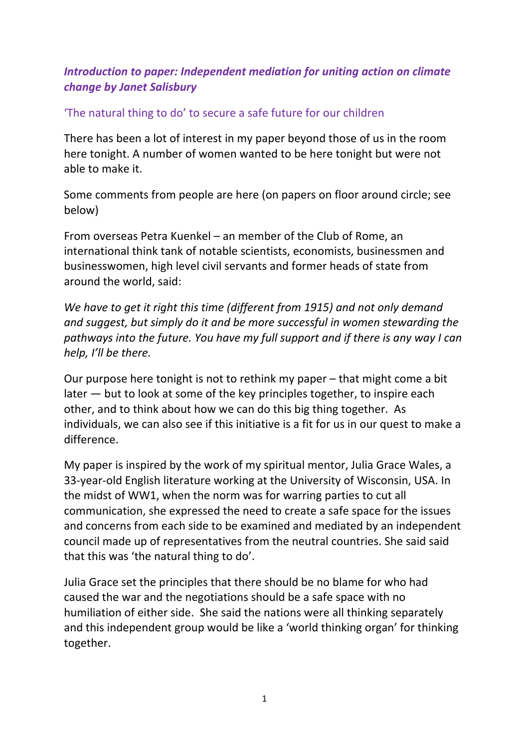## *Introduction to paper: Independent mediation for uniting action on climate change by Janet Salisbury*

## 'The natural thing to do' to secure a safe future for our children

There has been a lot of interest in my paper beyond those of us in the room here tonight. A number of women wanted to be here tonight but were not able to make it.

Some comments from people are here (on papers on floor around circle; see below)

From overseas Petra Kuenkel – an member of the Club of Rome, an international think tank of notable scientists, economists, businessmen and businesswomen, high level civil servants and former heads of state from around the world, said:

*We have to get it right this time (different from 1915) and not only demand and suggest, but simply do it and be more successful in women stewarding the pathways into the future. You have my full support and if there is any way I can help, I'll be there.*

Our purpose here tonight is not to rethink my paper – that might come a bit later — but to look at some of the key principles together, to inspire each other, and to think about how we can do this big thing together. As individuals, we can also see if this initiative is a fit for us in our quest to make a difference.

My paper is inspired by the work of my spiritual mentor, Julia Grace Wales, a 33-year-old English literature working at the University of Wisconsin, USA. In the midst of WW1, when the norm was for warring parties to cut all communication, she expressed the need to create a safe space for the issues and concerns from each side to be examined and mediated by an independent council made up of representatives from the neutral countries. She said said that this was 'the natural thing to do'.

Julia Grace set the principles that there should be no blame for who had caused the war and the negotiations should be a safe space with no humiliation of either side. She said the nations were all thinking separately and this independent group would be like a 'world thinking organ' for thinking together.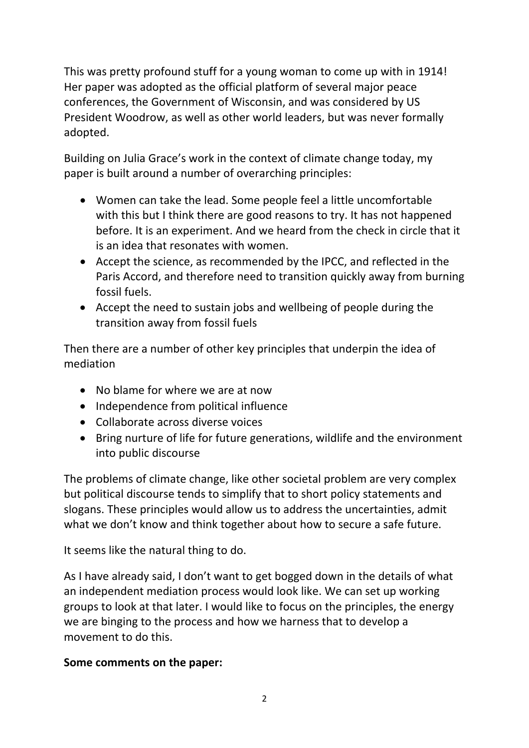This was pretty profound stuff for a young woman to come up with in 1914! Her paper was adopted as the official platform of several major peace conferences, the Government of Wisconsin, and was considered by US President Woodrow, as well as other world leaders, but was never formally adopted.

Building on Julia Grace's work in the context of climate change today, my paper is built around a number of overarching principles:

- Women can take the lead. Some people feel a little uncomfortable with this but I think there are good reasons to try. It has not happened before. It is an experiment. And we heard from the check in circle that it is an idea that resonates with women.
- Accept the science, as recommended by the IPCC, and reflected in the Paris Accord, and therefore need to transition quickly away from burning fossil fuels.
- Accept the need to sustain jobs and wellbeing of people during the transition away from fossil fuels

Then there are a number of other key principles that underpin the idea of mediation

- No blame for where we are at now
- Independence from political influence
- Collaborate across diverse voices
- Bring nurture of life for future generations, wildlife and the environment into public discourse

The problems of climate change, like other societal problem are very complex but political discourse tends to simplify that to short policy statements and slogans. These principles would allow us to address the uncertainties, admit what we don't know and think together about how to secure a safe future.

It seems like the natural thing to do.

As I have already said, I don't want to get bogged down in the details of what an independent mediation process would look like. We can set up working groups to look at that later. I would like to focus on the principles, the energy we are binging to the process and how we harness that to develop a movement to do this.

## **Some comments on the paper:**